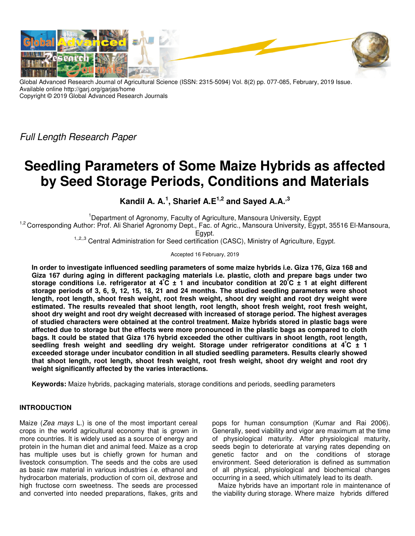

Global Advanced Research Journal of Agricultural Science (ISSN: 2315-5094) Vol. 8(2) pp. 077-085, February, 2019 Issue. Available online http://garj.org/garjas/home Copyright © 2019 Global Advanced Research Journals

Full Length Research Paper

# **Seedling Parameters of Some Maize Hybrids as affected by Seed Storage Periods, Conditions and Materials**

**Kandil A. A.<sup>1</sup> , Sharief A.E1,2 and Sayed A.A.,3** 

<sup>1</sup>Department of Agronomy, Faculty of Agriculture, Mansoura University, Egypt

<sup>1,2</sup> Corresponding Author: Prof. Ali Sharief Agronomy Dept., Fac. of Agric., Mansoura University, Egypt, 35516 El-Mansoura, Egypt.

1,,2,,3 Central Administration for Seed certification (CASC), Ministry of Agriculture, Egypt.

Accepted 16 February, 2019

**In order to investigate influenced seedling parameters of some maize hybrids i.e. Giza 176, Giza 168 and Giza 167 during aging in different packaging materials i.e. plastic, cloth and prepare bags under two storage conditions i.e. refrigerator at 4<sup>º</sup>C ± 1 and incubator condition at 20<sup>º</sup>C ± 1 at eight different storage periods of 3, 6, 9, 12, 15, 18, 21 and 24 months. The studied seedling parameters were shoot length, root length, shoot fresh weight, root fresh weight, shoot dry weight and root dry weight were estimated. The results revealed that shoot length, root length, shoot fresh weight, root fresh weight, shoot dry weight and root dry weight decreased with increased of storage period. The highest averages of studied characters were obtained at the control treatment. Maize hybrids stored in plastic bags were affected due to storage but the effects were more pronounced in the plastic bags as compared to cloth bags. It could be stated that Giza 176 hybrid exceeded the other cultivars in shoot length, root length, seedling fresh weight and seedling dry weight. Storage under refrigerator conditions at 4<sup>º</sup>C ± 1 exceeded storage under incubator condition in all studied seedling parameters. Results clearly showed that shoot length, root length, shoot fresh weight, root fresh weight, shoot dry weight and root dry weight significantly affected by the varies interactions.** 

**Keywords:** Maize hybrids, packaging materials, storage conditions and periods, seedling parameters

# **INTRODUCTION**

Maize (Zea mays L.) is one of the most important cereal crops in the world agricultural economy that is grown in more countries. It is widely used as a source of energy and protein in the human diet and animal feed. Maize as a crop has multiple uses but is chiefly grown for human and livestock consumption. The seeds and the cobs are used as basic raw material in various industries *i.e.* ethanol and hydrocarbon materials, production of corn oil, dextrose and high fructose corn sweetness. The seeds are processed and converted into needed preparations, flakes, grits and

pops for human consumption (Kumar and Rai 2006). Generally, seed viability and vigor are maximum at the time of physiological maturity. After physiological maturity, seeds begin to deteriorate at varying rates depending on genetic factor and on the conditions of storage environment. Seed deterioration is defined as summation of all physical, physiological and biochemical changes occurring in a seed, which ultimately lead to its death.

Maize hybrids have an important role in maintenance of the viability during storage. Where maize hybrids differed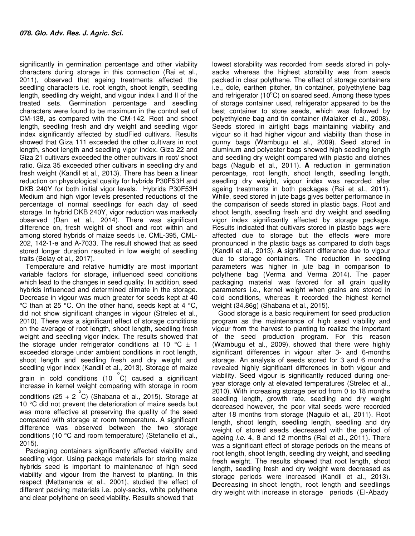significantly in germination percentage and other viability characters during storage in this connection (Rai et al., 2011), observed that ageing treatments affected the seedling characters i.e. root length, shoot length, seedling length, seedling dry weight, and vigour index I and II of the treated sets. Germination percentage and seedling characters were found to be maximum in the control set of CM-138, as compared with the CM-142. Root and shoot length, seedling fresh and dry weight and seedling vigor index significantly affected by studFied cultivars. Results showed that Giza 111 exceeded the other cultivars in root length, shoot length and seedling vigor index. Giza 22 and Giza 21 cultivars exceeded the other cultivars in root/ shoot ratio. Giza 35 exceeded other cultivars in seedling dry and fresh weight (Kandil et al., 2013). There has been a linear reduction on physiological quality for hybrids P30F53H and DKB 240Y for both initial vigor levels. Hybrids P30F53H Medium and high vigor levels presented reductions of the percentage of normal seedlings for each day of seed storage. In hybrid DKB 240Y, vigor reduction was markedly observed (Dan et al., 2014). There was significant difference on, fresh weight of shoot and root within and among stored hybrids of maize seeds i.e. CML-395, CML-202, 142-1-e and A-7033. The result showed that as seed stored longer duration resulted in low weight of seedling traits (Belay et al., 2017).

Temperature and relative humidity are most important variable factors for storage, influenced seed conditions which lead to the changes in seed quality. In addition, seed hybrids influenced and determined climate in the storage. Decrease in vigour was much greater for seeds kept at 40 °C than at 25 °C. On the other hand, seeds kept at 4 °C, did not show significant changes in vigour (Strelec et al., 2010). There was a significant effect of storage conditions on the average of root length, shoot length, seedling fresh weight and seedling vigor index. The results showed that the storage under refrigerator conditions at 10  $^{\circ}$ C  $\pm$  1 exceeded storage under ambient conditions in root length, shoot length and seedling fresh and dry weight and seedling vigor index (Kandil et al., 2013). Storage of maize grain in cold conditions (10  $\degree$ C) caused a significant increase in kernel weight comparing with storage in room conditions  $(25 + 2 \degree C)$  (Shabana et al., 2015). Storage at 10 °C did not prevent the deterioration of maize seeds but was more effective at preserving the quality of the seed compared with storage at room temperature. A significant difference was observed between the two storage conditions (10 °C and room temperature) (Stefanello et al., 2015).

Packaging containers significantly affected viability and seedling vigor. Using package materials for storing maize hybrids seed is important to maintenance of high seed viability and vigour from the harvest to planting. In this respect (Mettananda et al., 2001), studied the effect of different packing materials i.e. poly-sacks, white polythene and clear polythene on seed viability. Results showed that

lowest storability was recorded from seeds stored in polysacks whereas the highest storability was from seeds packed in clear polythene. The effect of storage containers i.e., dole, earthen pitcher, tin container, polyethylene bag and refrigerator (10 $^{\circ}$ C) on soared seed. Among these types of storage container used, refrigerator appeared to be the best container to store seeds, which was followed by polyethylene bag and tin container (Malaker et al., 2008). Seeds stored in airtight bags maintaining viability and vigour so it had higher vigour and viability than those in gunny bags (Wambugu et al., 2009). Seed stored in aluminum and polyester bags showed high seedling length and seedling dry weight compared with plastic and clothes bags (Naguib et al., 2011). **A** reduction in germination percentage, root length, shoot length, seedling length, seedling dry weight, vigour index was recorded after ageing treatments in both packages (Rai et al., 2011). While, seed stored in jute bags gives better performance in the comparison of seeds stored in plastic bags. Root and shoot length, seedling fresh and dry weight and seedling vigor index significantly affected by storage package. Results indicated that cultivars stored in plastic bags were affected due to storage but the effects were more pronounced in the plastic bags as compared to cloth bags (Kandil et al., 2013). **A** significant difference due to vigour due to storage containers. The reduction in seedling parameters was higher in jute bag in comparison to polythene bag (Verma and Verma 2014). The paper packaging material was favored for all grain quality parameters i.e., kernel weight when grains are stored in cold conditions, whereas it recorded the highest kernel weight (34.86g) (Shabana et al., 2015).

Good storage is a basic requirement for seed production program as the maintenance of high seed viability and vigour from the harvest to planting to realize the important of the seed production program. For this reason (Wambugu et al., 2009), showed that there were highly significant differences in vigour after 3- and 6-months storage. An analysis of seeds stored for 3 and 6 months revealed highly significant differences in both vigour and viability. Seed vigour is significantly reduced during oneyear storage only at elevated temperatures (Strelec et al., 2010). With increasing storage period from 0 to 18 months seedling length, growth rate, seedling and dry weight decreased however, the poor vital seeds were recorded after 18 months from storage (Naguib et al., 2011). Root length, shoot length, seedling length, seedling and dry weight of stored seeds decreased with the period of ageing i.e. 4, 8 and 12 months (Rai et al., 2011). There was a significant effect of storage periods on the means of root length, shoot length, seedling dry weight, and seedling fresh weight. The results showed that root length, shoot length, seedling fresh and dry weight were decreased as storage periods were increased (Kandil et al., 2013). **D**ecreasing in shoot length, root length and seedlings dry weight with increase in storage periods (El-Abady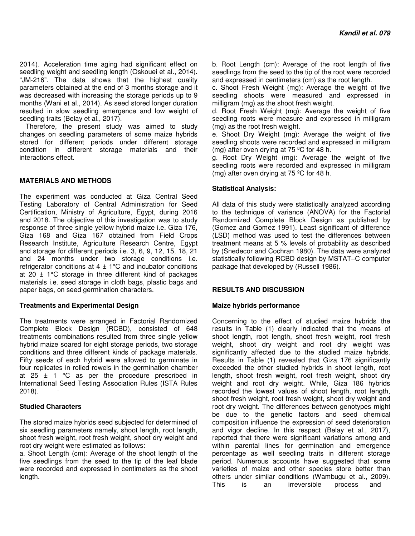2014). Acceleration time aging had significant effect on seedling weight and seedling length (Oskouei et al., 2014)**.**  "JM-216". The data shows that the highest quality parameters obtained at the end of 3 months storage and it was decreased with increasing the storage periods up to 9 months (Wani et al., 2014). As seed stored longer duration resulted in slow seedling emergence and low weight of seedling traits (Belay et al., 2017).

Therefore, the present study was aimed to study changes on seedling parameters of some maize hybrids stored for different periods under different storage condition in different storage materials and their interactions effect.

## **MATERIALS AND METHODS**

The experiment was conducted at Giza Central Seed Testing Laboratory of Central Administration for Seed Certification, Ministry of Agriculture, Egypt, during 2016 and 2018. The objective of this investigation was to study response of three single yellow hybrid maize i.e. Giza 176, Giza 168 and Giza 167 obtained from Field Crops Research Institute, Agriculture Research Centre, Egypt and storage for different periods i.e. 3, 6, 9, 12, 15, 18, 21 and 24 months under two storage conditions i.e. refrigerator conditions at  $4 \pm 1$ °C and incubator conditions at 20  $\pm$  1°C storage in three different kind of packages materials i.e. seed storage in cloth bags, plastic bags and paper bags, on seed germination characters.

#### **Treatments and Experimental Design**

The treatments were arranged in Factorial Randomized Complete Block Design (RCBD), consisted of 648 treatments combinations resulted from three single yellow hybrid maize soared for eight storage periods, two storage conditions and three different kinds of package materials. Fifty seeds of each hybrid were allowed to germinate in four replicates in rolled rowels in the germination chamber at 25  $\pm$  1 °C as per the procedure prescribed in International Seed Testing Association Rules (ISTA Rules 2018).

## **Studied Characters**

The stored maize hybrids seed subjected for determined of six seedling parameters namely, shoot length, root length, shoot fresh weight, root fresh weight, shoot dry weight and root dry weight were estimated as follows:

a. Shoot Length (cm): Average of the shoot length of the five seedlings from the seed to the tip of the leaf blade were recorded and expressed in centimeters as the shoot length.

b. Root Length (cm): Average of the root length of five seedlings from the seed to the tip of the root were recorded and expressed in centimeters (cm) as the root length.

c. Shoot Fresh Weight (mg): Average the weight of five seedling shoots were measured and expressed in milligram (mg) as the shoot fresh weight.

d. Root Fresh Weight (mg): Average the weight of five seedling roots were measure and expressed in milligram (mg) as the root fresh weight.

e. Shoot Dry Weight (mg): Average the weight of five seedling shoots were recorded and expressed in milligram (mg) after oven drying at 75 ºC for 48 h.

g. Root Dry Weight (mg): Average the weight of five seedling roots were recorded and expressed in milligram (mg) after oven drying at 75 ºC for 48 h.

## **Statistical Analysis:**

All data of this study were statistically analyzed according to the technique of variance (ANOVA) for the Factorial Randomized Complete Block Design as published by (Gomez and Gomez 1991). Least significant of difference (LSD) method was used to test the differences between treatment means at 5 % levels of probability as described by (Snedecor and Cochran 1980). The data were analyzed statistically following RCBD design by MSTAT–C computer package that developed by (Russell 1986).

## **RESULTS AND DISCUSSION**

## **Maize hybrids performance**

Concerning to the effect of studied maize hybrids the results in Table (1) clearly indicated that the means of shoot length, root length, shoot fresh weight, root fresh weight, shoot dry weight and root dry weight was significantly affected due to the studied maize hybrids. Results in Table (1) revealed that Giza 176 significantly exceeded the other studied hybrids in shoot length, root length, shoot fresh weight, root fresh weight, shoot dry weight and root dry weight. While, Giza 186 hybrids recorded the lowest values of shoot length, root length, shoot fresh weight, root fresh weight, shoot dry weight and root dry weight. The differences between genotypes might be due to the genetic factors and seed chemical composition influence the expression of seed deterioration and vigor decline. In this respect (Belay et al., 2017), reported that there were significant variations among and within parental lines for germination and emergence percentage as well seedling traits in different storage period. Numerous accounts have suggested that some varieties of maize and other species store better than others under similar conditions (Wambugu et al., 2009). This is an irreversible process and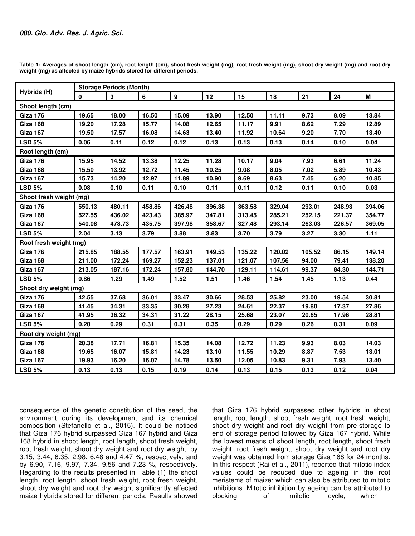| Hybrids (H)             | <b>Storage Periods (Month)</b> |              |        |                  |        |        |        |        |        |        |  |
|-------------------------|--------------------------------|--------------|--------|------------------|--------|--------|--------|--------|--------|--------|--|
|                         | 0                              | $\mathbf{3}$ | 6      | $\boldsymbol{9}$ | 12     | 15     | 18     | 21     | 24     | M      |  |
| Shoot length (cm)       |                                |              |        |                  |        |        |        |        |        |        |  |
| Giza 176                | 19.65                          | 18.00        | 16.50  | 15.09            | 13.90  | 12.50  | 11.11  | 9.73   | 8.09   | 13.84  |  |
| Giza 168                | 19.20                          | 17.28        | 15.77  | 14.08            | 12.65  | 11.17  | 9.91   | 8.62   | 7.29   | 12.89  |  |
| <b>Giza 167</b>         | 19.50                          | 17.57        | 16.08  | 14.63            | 13.40  | 11.92  | 10.64  | 9.20   | 7.70   | 13.40  |  |
| <b>LSD 5%</b>           | 0.06                           | 0.11         | 0.12   | 0.12             | 0.13   | 0.13   | 0.13   | 0.14   | 0.10   | 0.04   |  |
| Root length (cm)        |                                |              |        |                  |        |        |        |        |        |        |  |
| <b>Giza 176</b>         | 15.95                          | 14.52        | 13.38  | 12.25            | 11.28  | 10.17  | 9.04   | 7.93   | 6.61   | 11.24  |  |
| Giza 168                | 15.50                          | 13.92        | 12.72  | 11.45            | 10.25  | 9.08   | 8.05   | 7.02   | 5.89   | 10.43  |  |
| Giza 167                | 15.73                          | 14.20        | 12.97  | 11.89            | 10.90  | 9.69   | 8.63   | 7.45   | 6.20   | 10.85  |  |
| <b>LSD 5%</b>           | 0.08                           | 0.10         | 0.11   | 0.10             | 0.11   | 0.11   | 0.12   | 0.11   | 0.10   | 0.03   |  |
| Shoot fresh weight (mg) |                                |              |        |                  |        |        |        |        |        |        |  |
| <b>Giza 176</b>         | 550.13                         | 480.11       | 458.86 | 426.48           | 396.38 | 363.58 | 329.04 | 293.01 | 248.93 | 394.06 |  |
| Giza 168                | 527.55                         | 436.02       | 423.43 | 385.97           | 347.81 | 313.45 | 285.21 | 252.15 | 221.37 | 354.77 |  |
| Giza 167                | 540.08                         | 478.73       | 435.75 | 397.98           | 358.67 | 327.48 | 293.14 | 263.03 | 226.57 | 369.05 |  |
| <b>LSD 5%</b>           | 2.04                           | 3.13         | 3.79   | 3.88             | 3.83   | 3.70   | 3.79   | 3.27   | 3.30   | 1.11   |  |
| Root fresh weight (mg)  |                                |              |        |                  |        |        |        |        |        |        |  |
| Giza 176                | 215.85                         | 188.55       | 177.57 | 163.91           | 149.53 | 135.22 | 120.02 | 105.52 | 86.15  | 149.14 |  |
| Giza 168                | 211.00                         | 172.24       | 169.27 | 152.23           | 137.01 | 121.07 | 107.56 | 94.00  | 79.41  | 138.20 |  |
| <b>Giza 167</b>         | 213.05                         | 187.16       | 172.24 | 157.80           | 144.70 | 129.11 | 114.61 | 99.37  | 84.30  | 144.71 |  |
| <b>LSD 5%</b>           | 0.86                           | 1.29         | 1.49   | 1.52             | 1.51   | 1.46   | 1.54   | 1.45   | 1.13   | 0.44   |  |
| Shoot dry weight (mg)   |                                |              |        |                  |        |        |        |        |        |        |  |
| <b>Giza 176</b>         | 42.55                          | 37.68        | 36.01  | 33.47            | 30.66  | 28.53  | 25.82  | 23.00  | 19.54  | 30.81  |  |
| Giza 168                | 41.45                          | 34.31        | 33.35  | 30.28            | 27.23  | 24.61  | 22.37  | 19.80  | 17.37  | 27.86  |  |
| <b>Giza 167</b>         | 41.95                          | 36.32        | 34.31  | 31.22            | 28.15  | 25.68  | 23.07  | 20.65  | 17.96  | 28.81  |  |
| <b>LSD 5%</b>           | 0.20                           | 0.29         | 0.31   | 0.31             | 0.35   | 0.29   | 0.29   | 0.26   | 0.31   | 0.09   |  |
| Root dry weight (mg)    |                                |              |        |                  |        |        |        |        |        |        |  |
| Giza 176                | 20.38                          | 17.71        | 16.81  | 15.35            | 14.08  | 12.72  | 11.23  | 9.93   | 8.03   | 14.03  |  |
| Giza 168                | 19.65                          | 16.07        | 15.81  | 14.23            | 13.10  | 11.55  | 10.29  | 8.87   | 7.53   | 13.01  |  |
| <b>Giza 167</b>         | 19.93                          | 16.20        | 16.07  | 14.78            | 13.50  | 12.05  | 10.83  | 9.31   | 7.93   | 13.40  |  |
| <b>LSD 5%</b>           | 0.13                           | 0.13         | 0.15   | 0.19             | 0.14   | 0.13   | 0.15   | 0.13   | 0.12   | 0.04   |  |

**Table 1: Averages of shoot length (cm), root length (cm), shoot fresh weight (mg), root fresh weight (mg), shoot dry weight (mg) and root dry weight (mg) as affected by maize hybrids stored for different periods.** 

consequence of the genetic constitution of the seed, the environment during its development and its chemical composition (Stefanello et al., 2015). It could be noticed that Giza 176 hybrid surpassed Giza 167 hybrid and Giza 168 hybrid in shoot length, root length, shoot fresh weight, root fresh weight, shoot dry weight and root dry weight, by 3.15, 3.44, 6.35, 2.98, 6.48 and 4.47 %, respectively, and by 6.90, 7.16, 9.97, 7.34, 9.56 and 7.23 %, respectively. Regarding to the results presented in Table (1) the shoot length, root length, shoot fresh weight, root fresh weight, shoot dry weight and root dry weight significantly affected maize hybrids stored for different periods. Results showed

that Giza 176 hybrid surpassed other hybrids in shoot length, root length, shoot fresh weight, root fresh weight, shoot dry weight and root dry weight from pre-storage to end of storage period followed by Giza 167 hybrid. While the lowest means of shoot length, root length, shoot fresh weight, root fresh weight, shoot dry weight and root dry weight was obtained from storage Giza 168 for 24 months. In this respect (Rai et al., 2011), reported that mitotic index values could be reduced due to ageing in the root meristems of maize; which can also be attributed to mitotic inhibitions. Mitotic inhibition by ageing can be attributed to blocking of mitotic cycle, which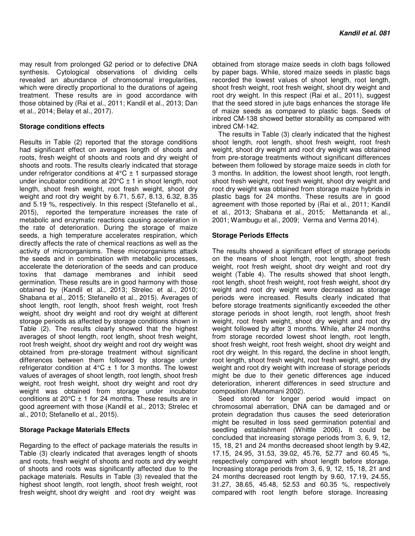may result from prolonged G2 period or to defective DNA synthesis. Cytological observations of dividing cells revealed an abundance of chromosomal irregularities, which were directly proportional to the durations of ageing treatment. These results are in good accordance with those obtained by (Rai et al., 2011; Kandil et al., 2013; Dan et al., 2014; Belay et al., 2017).

#### **Storage conditions effects**

length, shoot fresh weight, root fresh weight, shoot dry Results in Table (2) reported that the storage conditions had significant effect on averages length of shoots and roots, fresh weight of shoots and roots and dry weight of shoots and roots. The results clearly indicated that storage under refrigerator conditions at  $4^{\circ}C \pm 1$  surpassed storage under incubator conditions at  $20^{\circ}C \pm 1$  in shoot length, root weight and root dry weight by 6.71, 5.67, 8.13, 6.32, 8.35 and 5.19 %, respectively. In this respect (Stefanello et al., 2015), reported the temperature increases the rate of metabolic and enzymatic reactions causing acceleration in the rate of deterioration. During the storage of maize seeds, a high temperature accelerates respiration, which directly affects the rate of chemical reactions as well as the activity of microorganisms. These microorganisms attack the seeds and in combination with metabolic processes, accelerate the deterioration of the seeds and can produce toxins that damage membranes and inhibit seed germination. These results are in good harmony with those obtained by (Kandil et al., 2013; Strelec et al., 2010; Shabana et al., 2015; Stefanello et al., 2015). Averages of shoot length, root length, shoot fresh weight, root fresh weight, shoot dry weight and root dry weight at different storage periods as affected by storage conditions shown in Table (2). The results clearly showed that the highest averages of shoot length, root length, shoot fresh weight, root fresh weight, shoot dry weight and root dry weight was obtained from pre-storage treatment without significant differences between them followed by storage under refrigerator condition at  $4^{\circ}C \pm 1$  for 3 months. The lowest values of averages of shoot length, root length, shoot fresh weight, root fresh weight, shoot dry weight and root dry weight was obtained from storage under incubator conditions at  $20^{\circ}$ C  $\pm$  1 for 24 months. These results are in good agreement with those (Kandil et al., 2013; Strelec et al., 2010; Stefanello et al., 2015).

## **Storage Package Materials Effects**

Regarding to the effect of package materials the results in Table (3) clearly indicated that averages length of shoots and roots, fresh weight of shoots and roots and dry weight of shoots and roots was significantly affected due to the package materials. Results in Table (3) revealed that the highest shoot length, root length, shoot fresh weight, root fresh weight, shoot dry weight and root dry weight was

obtained from storage maize seeds in cloth bags followed by paper bags. While, stored maize seeds in plastic bags recorded the lowest values of shoot length, root length, shoot fresh weight, root fresh weight, shoot dry weight and root dry weight. In this respect (Rai et al., 2011), suggest that the seed stored in jute bags enhances the storage life of maize seeds as compared to plastic bags. Seeds of inbred CM-138 showed better storability as compared with inbred CM-142.

The results in Table (3) clearly indicated that the highest shoot length, root length, shoot fresh weight, root fresh weight, shoot dry weight and root dry weight was obtained from pre-storage treatments without significant differences between them followed by storage maize seeds in cloth for 3 months. In addition, the lowest shoot length, root length, shoot fresh weight, root fresh weight, shoot dry weight and root dry weight was obtained from storage maize hybrids in plastic bags for 24 months. These results are in good agreement with those reported by (Rai et al., 2011; Kandil et al., 2013; Shabana et al., 2015; Mettananda et al., 2001; Wambugu et al., 2009; Verma and Verma 2014).

## **Storage Periods Effects**

The results showed a significant effect of storage periods on the means of shoot length, root length, shoot fresh weight, root fresh weight, shoot dry weight and root dry weight (Table 4). The results showed that shoot length, root length, shoot fresh weight, root fresh weight, shoot dry weight and root dry weight were decreased as storage periods were increased. Results clearly indicated that before storage treatments significantly exceeded the other storage periods in shoot length, root length, shoot fresh weight, root fresh weight, shoot dry weight and root dry weight followed by after 3 months. While, after 24 months from storage recorded lowest shoot length, root length, shoot fresh weight, root fresh weight, shoot dry weight and root dry weight. In this regard, the decline in shoot length, root length, shoot fresh weight, root fresh weight, shoot dry weight and root dry weight with increase of storage periods might be due to their genetic differences age induced deterioration, inherent differences in seed structure and composition (Manomani 2002).

Seed stored for longer period would impact on chromosomal aberration, DNA can be damaged and or protein degradation thus causes the seed deterioration might be resulted in loss seed germination potential and seedling establishment (Whittle 2006)**.** It could be concluded that increasing storage periods from 3, 6, 9, 12, 15, 18, 21 and 24 months decreased shoot length by 9.42, 17.15, 24.95, 31.53, 39.02, 45.76, 52.77 and 60.45 %, respectively compared with shoot length before storage. Increasing storage periods from 3, 6, 9, 12, 15, 18, 21 and 24 months decreased root length by 9.60, 17.19, 24.55, 31.27, 38.65, 45.48, 52.53 and 60.35 %, respectively compared with root length before storage. Increasing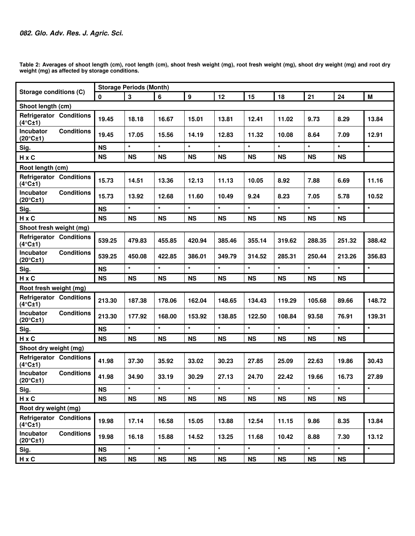**Storage conditions (C) Storage Periods (Month) 0 3 6 9 12 15 18 21 24 M Shoot length (cm) Refrigerator Conditions (4°C±1) 19.45 18.18 16.67 15.01 13.81 12.41 11.02 9.73 8.29 13.84 Incubator Conditions (20°C±1) 19.45 17.05 15.56 14.19 12.83 11.32 10.08 8.64 7.09 12.91 Sig. NS \* \* \* \* \* \* \* \* \***  H x C | NS | NS | NS | NS | NS | NS | NS | NS | NS **Root length (cm) Refrigerator Conditions (4°C±1) 15.73 14.51 13.36 12.13 11.13 10.05 8.92 7.88 6.69 11.16 Incubator Conditions (20°C±1) 15.73 13.92 12.68 11.60 10.49 9.24 8.23 7.05 5.78 10.52 Sig. NS \* \* \* \* \* \* \* \* \***  H x C | NS | NS | NS | NS | NS | NS | NS | NS | NS **Shoot fresh weight (mg) Refrigerator Conditions (4°C±1) 539.25 479.83 455.85 420.94 385.46 355.14 319.62 288.35 251.32 388.42 Incubator Conditions (20°C±1) 539.25 450.08 422.85 386.01 349.79 314.52 285.31 250.44 213.26 356.83 Sig. NS \* \* \* \* \* \* \* \* \***  H x C | NS | NS | NS | NS | NS | NS | NS | NS | NS **Root fresh weight (mg) Refrigerator Conditions (4°C±1) 213.30 187.38 178.06 162.04 148.65 134.43 119.29 105.68 89.66 148.72 Incubator Conditions (20°C±1) 213.30 177.92 168.00 153.92 138.85 122.50 108.84 93.58 76.91 139.31 Sig. NS \* \* \* \* \* \* \* \* \***  H x C | NS | NS | NS | NS | NS | NS | NS | NS | NS **Shoot dry weight (mg) Refrigerator Conditions (4°C±1) 41.98 37.30 35.92 33.02 30.23 27.85 25.09 22.63 19.86 30.43 Incubator Conditions (20°C±1) 41.98 34.90 33.19 30.29 27.13 24.70 22.42 19.66 16.73 27.89 Sig. NS \* \* \* \* \* \* \* \* \***  H x C | NS | NS | NS | NS | NS | NS | NS | NS | NS **Root dry weight (mg) Refrigerator Conditions (4°C±1) 19.98 17.14 16.58 15.05 13.88 12.54 11.15 9.86 8.35 13.84 Incubator Conditions (20°C±1) 19.98 16.18 15.88 14.52 13.25 11.68 10.42 8.88 7.30 13.12 Sig. NS \* \* \* \* \* \* \* \* \***  H x C | NS | NS | NS | NS | NS | NS | NS | NS | NS

**Table 2: Averages of shoot length (cm), root length (cm), shoot fresh weight (mg), root fresh weight (mg), shoot dry weight (mg) and root dry weight (mg) as affected by storage conditions.**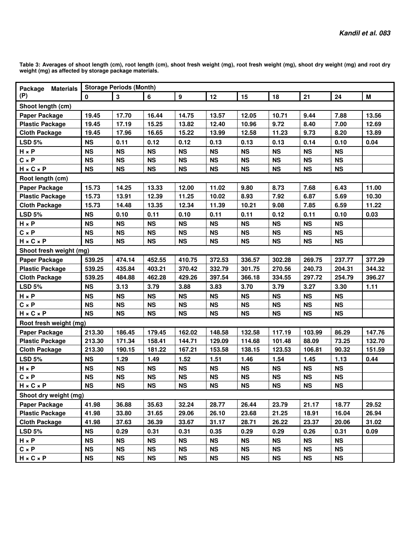**Table 3: Averages of shoot length (cm), root length (cm), shoot fresh weight (mg), root fresh weight (mg), shoot dry weight (mg) and root dry weight (mg) as affected by storage package materials.** 

| Package Materials       | <b>Storage Periods (Month)</b> |              |                |                  |           |           |           |           |           |        |
|-------------------------|--------------------------------|--------------|----------------|------------------|-----------|-----------|-----------|-----------|-----------|--------|
| (P)                     | $\mathbf 0$                    | $\mathbf{3}$ | $6\phantom{a}$ | $\boldsymbol{9}$ | 12        | 15        | 18        | 21        | 24        | M      |
| Shoot length (cm)       |                                |              |                |                  |           |           |           |           |           |        |
| <b>Paper Package</b>    | 19.45                          | 17.70        | 16.44          | 14.75            | 13.57     | 12.05     | 10.71     | 9.44      | 7.88      | 13.56  |
| <b>Plastic Package</b>  | 19.45                          | 17.19        | 15.25          | 13.82            | 12.40     | 10.96     | 9.72      | 8.40      | 7.00      | 12.69  |
| <b>Cloth Package</b>    | 19.45                          | 17.96        | 16.65          | 15.22            | 13.99     | 12.58     | 11.23     | 9.73      | 8.20      | 13.89  |
| <b>LSD 5%</b>           | <b>NS</b>                      | 0.11         | 0.12           | 0.12             | 0.13      | 0.13      | 0.13      | 0.14      | 0.10      | 0.04   |
| $H \times P$            | <b>NS</b>                      | <b>NS</b>    | <b>NS</b>      | <b>NS</b>        | <b>NS</b> | <b>NS</b> | <b>NS</b> | <b>NS</b> | <b>NS</b> |        |
| $C \times P$            | <b>NS</b>                      | <b>NS</b>    | <b>NS</b>      | <b>NS</b>        | <b>NS</b> | <b>NS</b> | <b>NS</b> | <b>NS</b> | <b>NS</b> |        |
| $H \times C \times P$   | <b>NS</b>                      | <b>NS</b>    | <b>NS</b>      | <b>NS</b>        | <b>NS</b> | <b>NS</b> | <b>NS</b> | <b>NS</b> | <b>NS</b> |        |
| Root length (cm)        |                                |              |                |                  |           |           |           |           |           |        |
| <b>Paper Package</b>    | 15.73                          | 14.25        | 13.33          | 12.00            | 11.02     | 9.80      | 8.73      | 7.68      | 6.43      | 11.00  |
| <b>Plastic Package</b>  | 15.73                          | 13.91        | 12.39          | 11.25            | 10.02     | 8.93      | 7.92      | 6.87      | 5.69      | 10.30  |
| <b>Cloth Package</b>    | 15.73                          | 14.48        | 13.35          | 12.34            | 11.39     | 10.21     | 9.08      | 7.85      | 6.59      | 11.22  |
| <b>LSD 5%</b>           | <b>NS</b>                      | 0.10         | 0.11           | 0.10             | 0.11      | 0.11      | 0.12      | 0.11      | 0.10      | 0.03   |
| $H \times P$            | <b>NS</b>                      | <b>NS</b>    | <b>NS</b>      | <b>NS</b>        | <b>NS</b> | <b>NS</b> | <b>NS</b> | <b>NS</b> | <b>NS</b> |        |
| $C \times P$            | <b>NS</b>                      | <b>NS</b>    | <b>NS</b>      | <b>NS</b>        | <b>NS</b> | <b>NS</b> | <b>NS</b> | <b>NS</b> | <b>NS</b> |        |
| $H \times C \times P$   | <b>NS</b>                      | <b>NS</b>    | <b>NS</b>      | <b>NS</b>        | <b>NS</b> | <b>NS</b> | <b>NS</b> | <b>NS</b> | <b>NS</b> |        |
| Shoot fresh weight (mg) |                                |              |                |                  |           |           |           |           |           |        |
| Paper Package           | 539.25                         | 474.14       | 452.55         | 410.75           | 372.53    | 336.57    | 302.28    | 269.75    | 237.77    | 377.29 |
| <b>Plastic Package</b>  | 539.25                         | 435.84       | 403.21         | 370.42           | 332.79    | 301.75    | 270.56    | 240.73    | 204.31    | 344.32 |
| <b>Cloth Package</b>    | 539.25                         | 484.88       | 462.28         | 429.26           | 397.54    | 366.18    | 334.55    | 297.72    | 254.79    | 396.27 |
| <b>LSD 5%</b>           | <b>NS</b>                      | 3.13         | 3.79           | 3.88             | 3.83      | 3.70      | 3.79      | 3.27      | 3.30      | 1.11   |
| $H \times P$            | <b>NS</b>                      | <b>NS</b>    | <b>NS</b>      | <b>NS</b>        | <b>NS</b> | <b>NS</b> | <b>NS</b> | <b>NS</b> | <b>NS</b> |        |
| $C \times P$            | <b>NS</b>                      | <b>NS</b>    | <b>NS</b>      | <b>NS</b>        | <b>NS</b> | <b>NS</b> | <b>NS</b> | <b>NS</b> | <b>NS</b> |        |
| $H \times C \times P$   | <b>NS</b>                      | <b>NS</b>    | <b>NS</b>      | <b>NS</b>        | <b>NS</b> | <b>NS</b> | <b>NS</b> | <b>NS</b> | <b>NS</b> |        |
| Root fresh weight (mg)  |                                |              |                |                  |           |           |           |           |           |        |
| Paper Package           | 213.30                         | 186.45       | 179.45         | 162.02           | 148.58    | 132.58    | 117.19    | 103.99    | 86.29     | 147.76 |
| <b>Plastic Package</b>  | 213.30                         | 171.34       | 158.41         | 144.71           | 129.09    | 114.68    | 101.48    | 88.09     | 73.25     | 132.70 |
| <b>Cloth Package</b>    | 213.30                         | 190.15       | 181.22         | 167.21           | 153.58    | 138.15    | 123.53    | 106.81    | 90.32     | 151.59 |
| <b>LSD 5%</b>           | <b>NS</b>                      | 1.29         | 1.49           | 1.52             | 1.51      | 1.46      | 1.54      | 1.45      | 1.13      | 0.44   |
| $H \times P$            | <b>NS</b>                      | <b>NS</b>    | <b>NS</b>      | <b>NS</b>        | <b>NS</b> | <b>NS</b> | <b>NS</b> | <b>NS</b> | <b>NS</b> |        |
| $C \times P$            | <b>NS</b>                      | <b>NS</b>    | <b>NS</b>      | <b>NS</b>        | <b>NS</b> | <b>NS</b> | <b>NS</b> | <b>NS</b> | <b>NS</b> |        |
| $H \times C \times P$   | <b>NS</b>                      | NS           | NS             | NS               | <b>NS</b> | NS        | <b>NS</b> | NS        | <b>NS</b> |        |
| Shoot dry weight (mg)   |                                |              |                |                  |           |           |           |           |           |        |
| <b>Paper Package</b>    | 41.98                          | 36.88        | 35.63          | 32.24            | 28.77     | 26.44     | 23.79     | 21.17     | 18.77     | 29.52  |
| <b>Plastic Package</b>  | 41.98                          | 33.80        | 31.65          | 29.06            | 26.10     | 23.68     | 21.25     | 18.91     | 16.04     | 26.94  |
| <b>Cloth Package</b>    | 41.98                          | 37.63        | 36.39          | 33.67            | 31.17     | 28.71     | 26.22     | 23.37     | 20.06     | 31.02  |
| <b>LSD 5%</b>           | <b>NS</b>                      | 0.29         | 0.31           | 0.31             | 0.35      | 0.29      | 0.29      | 0.26      | 0.31      | 0.09   |
| $H \times P$            | <b>NS</b>                      | <b>NS</b>    | <b>NS</b>      | <b>NS</b>        | <b>NS</b> | <b>NS</b> | <b>NS</b> | <b>NS</b> | <b>NS</b> |        |
| $C \times P$            | <b>NS</b>                      | <b>NS</b>    | <b>NS</b>      | <b>NS</b>        | <b>NS</b> | <b>NS</b> | <b>NS</b> | <b>NS</b> | <b>NS</b> |        |
| $H \times C \times P$   | <b>NS</b>                      | <b>NS</b>    | <b>NS</b>      | <b>NS</b>        | <b>NS</b> | <b>NS</b> | NS        | <b>NS</b> | <b>NS</b> |        |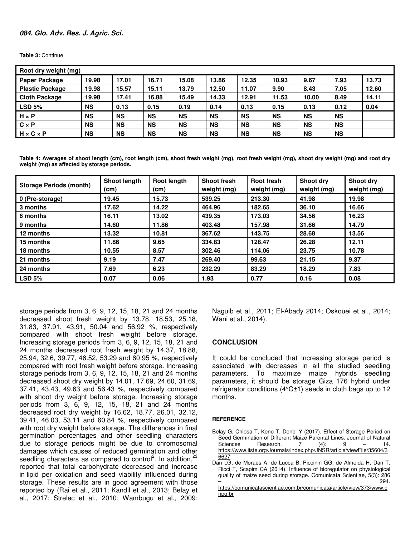**Table 3:** Continue

| Root dry weight (mg)   |           |           |           |           |           |           |           |           |           |       |
|------------------------|-----------|-----------|-----------|-----------|-----------|-----------|-----------|-----------|-----------|-------|
| <b>Paper Package</b>   | 19.98     | 17.01     | 16.71     | 15.08     | 13.86     | 12.35     | 10.93     | 9.67      | 7.93      | 13.73 |
| <b>Plastic Package</b> | 19.98     | 15.57     | 15.11     | 13.79     | 12.50     | 11.07     | 9.90      | 8.43      | 7.05      | 12.60 |
| <b>Cloth Package</b>   | 19.98     | 17.41     | 16.88     | 15.49     | 14.33     | 12.91     | 11.53     | 10.00     | 8.49      | 14.11 |
| <b>LSD 5%</b>          | <b>NS</b> | 0.13      | 0.15      | 0.19      | 0.14      | 0.13      | 0.15      | 0.13      | 0.12      | 0.04  |
| $H \times P$           | <b>NS</b> | <b>NS</b> | <b>NS</b> | <b>NS</b> | <b>NS</b> | <b>NS</b> | <b>NS</b> | <b>NS</b> | <b>NS</b> |       |
| $C \times P$           | <b>NS</b> | <b>NS</b> | <b>NS</b> | <b>NS</b> | <b>NS</b> | <b>NS</b> | <b>NS</b> | <b>NS</b> | <b>NS</b> |       |
| $H \times C \times P$  | <b>NS</b> | <b>NS</b> | <b>NS</b> | <b>NS</b> | <b>NS</b> | <b>NS</b> | <b>NS</b> | <b>NS</b> | <b>NS</b> |       |

**Table 4: Averages of shoot length (cm), root length (cm), shoot fresh weight (mg), root fresh weight (mg), shoot dry weight (mg) and root dry weight (mg) as affected by storage periods.** 

| <b>Storage Periods (month)</b> | <b>Shoot length</b><br>(cm) | Root length<br>(cm) | <b>Shoot fresh</b><br>weight (mg) | <b>Root fresh</b><br>weight (mg) | Shoot dry<br>weight (mg) | Shoot dry<br>weight (mg) |
|--------------------------------|-----------------------------|---------------------|-----------------------------------|----------------------------------|--------------------------|--------------------------|
| 0 (Pre-storage)                | 19.45                       | 15.73               | 539.25                            | 213.30                           | 41.98                    | 19.98                    |
| 3 months                       | 17.62                       | 14.22               | 464.96                            | 182.65                           | 36.10                    | 16.66                    |
| 6 months                       | 16.11                       | 13.02               | 439.35                            | 173.03                           | 34.56                    | 16.23                    |
| 9 months                       | 14.60                       | 11.86               | 403.48                            | 157.98                           | 31.66                    | 14.79                    |
| 12 months                      | 13.32                       | 10.81               | 367.62                            | 143.75                           | 28.68                    | 13.56                    |
| 15 months                      | 11.86                       | 9.65                | 334.83                            | 128.47                           | 26.28                    | 12.11                    |
| 18 months                      | 10.55                       | 8.57                | 302.46                            | 114.06                           | 23.75                    | 10.78                    |
| 21 months                      | 9.19                        | 7.47                | 269.40                            | 99.63                            | 21.15                    | 9.37                     |
| 24 months                      | 7.69                        | 6.23                | 232.29                            | 83.29                            | 18.29                    | 7.83                     |
| LSD <sub>5%</sub>              | 0.07                        | 0.06                | 1.93                              | 0.77                             | 0.16                     | 0.08                     |

storage periods from 3, 6, 9, 12, 15, 18, 21 and 24 months decreased shoot fresh weight by 13.78, 18.53, 25.18, 31.83, 37.91, 43.91, 50.04 and 56.92 %, respectively compared with shoot fresh weight before storage. Increasing storage periods from 3, 6, 9, 12, 15, 18, 21 and 24 months decreased root fresh weight by 14.37, 18.88, 25.94, 32.6, 39.77, 46.52, 53.29 and 60.95 %, respectively compared with root fresh weight before storage. Increasing storage periods from 3, 6, 9, 12, 15, 18, 21 and 24 months decreased shoot dry weight by 14.01, 17.69, 24.60, 31.69, 37.41, 43.43, 49.63 and 56.43 %, respectively compared with shoot dry weight before storage. Increasing storage periods from 3, 6, 9, 12, 15, 18, 21 and 24 months decreased root dry weight by 16.62, 18.77, 26.01, 32.12, 39.41, 46.03, 53.11 and 60.84 %, respectively compared with root dry weight before storage. The differences in final germination percentages and other seedling characters due to storage periods might be due to chromosomal damages which causes of reduced germination and other seedling characters as compared to control<sup>2</sup>. In addition,  $23$ reported that total carbohydrate decreased and increase in lipid per oxidation and seed viability influenced during storage. These results are in good agreement with those reported by (Rai et al., 2011; Kandil et al., 2013; Belay et al., 2017; Strelec et al., 2010; Wambugu et al., 2009; Naguib et al., 2011; El-Abady 2014; Oskouei et al., 2014; Wani et al., 2014).

## **CONCLUSION**

It could be concluded that increasing storage period is associated with decreases in all the studied seedling parameters. To maximize maize hybrids seedling parameters, it should be storage Giza 176 hybrid under refrigerator conditions (4°C±1) seeds in cloth bags up to 12 months.

#### **REFERENCE**

Belay G, Chibsa T, Keno T, Denbi Y (2017). Effect of Storage Period on Seed Germination of Different Maize Parental Lines. Journal of Natural Sciences Research, 7 (4): 9 – 14. https://www.iiste.org/Journals/index.php/JNSR/article/viewFile/35604/3 6627

Dan LG, de Moraes A, de Lucca B, Piccinin GG, de Almeida H, Dan T, Ricci T, Scapim CA (2014). Influence of bioregulator on physiological quality of maize seed during storage. Comunicata Scientiae, 5(3): 286  $-$  294.

https://comunicatascientiae.com.br/comunicata/article/view/373/www.c npq.br